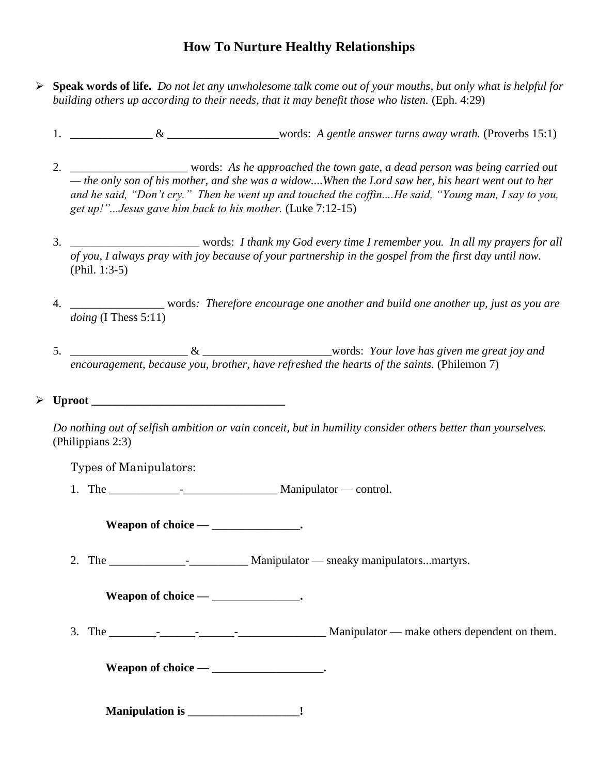## **How To Nurture Healthy Relationships**

- **Speak words of life.** *Do not let any unwholesome talk come out of your mouths, but only what is helpful for building others up according to their needs, that it may benefit those who listen.* (Eph. 4:29)
	- 1. \_\_\_\_\_\_\_\_\_\_\_\_\_\_ & \_\_\_\_\_\_\_\_\_\_\_\_\_\_\_\_\_\_\_words: *A gentle answer turns away wrath.* (Proverbs 15:1)
	- 2. \_\_\_\_\_\_\_\_\_\_\_\_\_\_\_\_\_\_\_\_ words: *As he approached the town gate, a dead person was being carried out — the only son of his mother, and she was a widow....When the Lord saw her, his heart went out to her and he said, "Don't cry." Then he went up and touched the coffin....He said, "Young man, I say to you, get up!"...Jesus gave him back to his mother.* (Luke 7:12-15)
	- 3. \_\_\_\_\_\_\_\_\_\_\_\_\_\_\_\_\_\_\_\_\_\_ words: *I thank my God every time I remember you. In all my prayers for all of you, I always pray with joy because of your partnership in the gospel from the first day until now.* (Phil. 1:3-5)
	- 4. \_\_\_\_\_\_\_\_\_\_\_\_\_\_\_\_ words*: Therefore encourage one another and build one another up, just as you are doing* (I Thess 5:11)
	- 5. \_\_\_\_\_\_\_\_\_\_\_\_\_\_\_\_\_\_\_\_ & \_\_\_\_\_\_\_\_\_\_\_\_\_\_\_\_\_\_\_\_\_\_words: *Your love has given me great joy and encouragement, because you, brother, have refreshed the hearts of the saints.* (Philemon 7)

 $\triangleright$  Uproot

*Do nothing out of selfish ambition or vain conceit, but in humility consider others better than yourselves.* (Philippians 2:3)

Types of Manipulators:

1. The \_\_\_\_\_\_\_\_\_\_\_\_-\_\_\_\_\_\_\_\_\_\_\_\_\_\_\_\_ Manipulator — control.

**Weapon of choice —** \_\_\_\_\_\_\_\_\_\_\_\_\_\_\_**.** 

2. The  $\blacksquare$  - Manipulator — sneaky manipulators...martyrs.

**Weapon of choice —** \_\_\_\_\_\_\_\_\_\_\_\_\_\_\_**.** 

3. The \_\_\_\_\_\_\_\_-\_\_\_\_\_\_-\_\_\_\_\_\_-\_\_\_\_\_\_\_\_\_\_\_\_\_\_\_ Manipulator — make others dependent on them.

**Weapon of choice —** \_\_\_\_\_\_\_\_\_\_\_\_\_\_\_\_\_\_\_**.** 

**Manipulation is \_\_\_\_\_\_\_\_\_\_\_\_\_\_\_\_\_\_\_!**